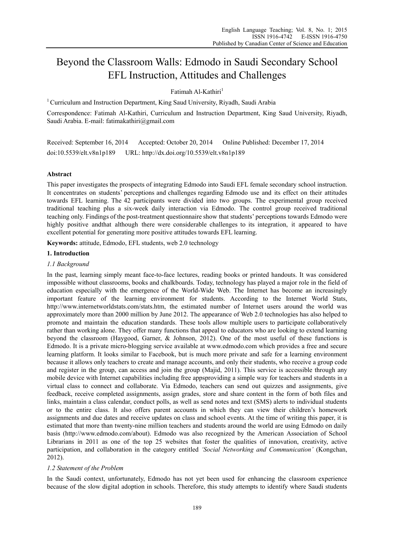# Beyond the Classroom Walls: Edmodo in Saudi Secondary School EFL Instruction, Attitudes and Challenges

Fatimah Al-Kathiri $<sup>1</sup>$ </sup>

<sup>1</sup> Curriculum and Instruction Department, King Saud University, Riyadh, Saudi Arabia

Correspondence: Fatimah Al-Kathiri, Curriculum and Instruction Department, King Saud University, Riyadh, Saudi Arabia. E-mail: fatimakathiri@gmail.com

Received: September 16, 2014 Accepted: October 20, 2014 Online Published: December 17, 2014 doi:10.5539/elt.v8n1p189 URL: http://dx.doi.org/10.5539/elt.v8n1p189

## **Abstract**

This paper investigates the prospects of integrating Edmodo into Saudi EFL female secondary school instruction. It concentrates on students' perceptions and challenges regarding Edmodo use and its effect on their attitudes towards EFL learning. The 42 participants were divided into two groups. The experimental group received traditional teaching plus a six-week daily interaction via Edmodo. The control group received traditional teaching only. Findings of the post-treatment questionnaire show that students' perceptions towards Edmodo were highly positive andthat although there were considerable challenges to its integration, it appeared to have excellent potential for generating more positive attitudes towards EFL learning.

**Keywords:** attitude, Edmodo, EFL students, web 2.0 technology

# **1. Introduction**

#### *1.1 Background*

In the past, learning simply meant face-to-face lectures, reading books or printed handouts. It was considered impossible without classrooms, books and chalkboards. Today, technology has played a major role in the field of education especially with the emergence of the World-Wide Web. The Internet has become an increasingly important feature of the learning environment for students. According to the Internet World Stats, http://www.internetworldstats.com/stats.htm, the estimated number of Internet users around the world was approximately more than 2000 million by June 2012. The appearance of Web 2.0 technologies has also helped to promote and maintain the education standards. These tools allow multiple users to participate collaboratively rather than working alone. They offer many functions that appeal to educators who are looking to extend learning beyond the classroom (Haygood, Garner, & Johnson, 2012). One of the most useful of these functions is Edmodo. It is a private micro-blogging service available at www.edmodo.com which provides a free and secure learning platform. It looks similar to Facebook, but is much more private and safe for a learning environment because it allows only teachers to create and manage accounts, and only their students, who receive a group code and register in the group, can access and join the group (Majid, 2011). This service is accessible through any mobile device with Internet capabilities including free appsproviding a simple way for teachers and students in a virtual class to connect and collaborate. Via Edmodo, teachers can send out quizzes and assignments, give feedback, receive completed assignments, assign grades, store and share content in the form of both files and links, maintain a class calendar, conduct polls, as well as send notes and text (SMS) alerts to individual students or to the entire class. It also offers parent accounts in which they can view their children's homework assignments and due dates and receive updates on class and school events. At the time of writing this paper, it is estimated that more than twenty-nine million teachers and students around the world are using Edmodo on daily basis (http://www.edmodo.com/about). Edmodo was also recognized by the American Association of School Librarians in 2011 as one of the top 25 websites that foster the qualities of innovation, creativity, active participation, and collaboration in the category entitled *'Social Networking and Communication'* (Kongchan, 2012).

#### *1.2 Statement of the Problem*

In the Saudi context, unfortunately, Edmodo has not yet been used for enhancing the classroom experience because of the slow digital adoption in schools. Therefore, this study attempts to identify where Saudi students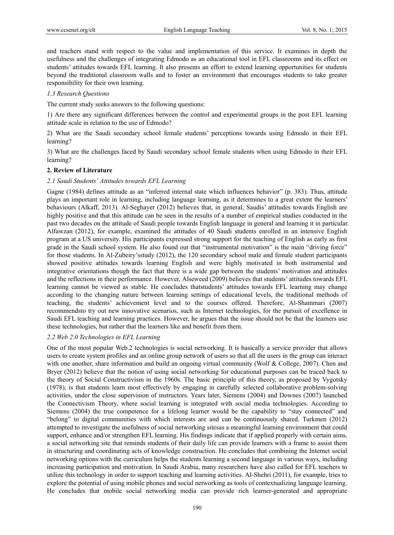and teachers stand with respect to the value and implementation of this service. It examines in depth the usefulness and the challenges of integrating Edmodo as an educational tool in EFL classrooms and its effect on students' attitudes towards EFL learning. It also presents an effort to extend learning opportunities for students beyond the traditional classroom walls and to foster an environment that encourages students to take greater responsibility for their own learning.

#### *1.3 Research Questions*

The current study seeks answers to the following questions:

1) Are there any significant differences between the control and experimental groups in the post EFL learning attitude scale in relation to the use of Edmodo?

2) What are the Saudi secondary school female students' perceptions towards using Edmodo in their EFL learning?

3) What are the challenges faced by Saudi secondary school female students when using Edmodo in their EFL learning?

#### **2. Review of Literature**

#### *2.1 Saudi Students' Attitudes towards EFL Learning*

Gagne (1984) defines attitude as an "inferred internal state which influences behavior" (p. 383). Thus, attitude plays an important role in learning, including language learning, as it determines to a great extent the learners' behaviours (Alkaff, 2013). Al-Seghayer (2012) believes that, in general, Saudis' attitudes towards English are highly positive and that this attitude can be seen in the results of a number of empirical studies conducted in the past two decades on the attitude of Saudi people towards English language in general and learning it in particular. Alfawzan (2012), for example, examined the attitudes of 40 Saudi students enrolled in an intensive English program at a US university. His participants expressed strong support for the teaching of English as early as first grade in the Saudi school system. He also found out that "instrumental motivation" is the main "driving force" for those students. In Al-Zubeiry'sstudy (2012), the 120 secondary school male and female student participants showed positive attitudes towards learning English and were highly motivated in both instrumental and integrative orientations though the fact that there is a wide gap between the students' motivation and attitudes and the reflections in their performance. However, Alseweed (2009) believes that students' attitudes towards EFL learning cannot be viewed as stable. He concludes thatstudents' attitudes towards EFL learning may change according to the changing nature between learning settings of educational levels, the traditional methods of teaching, the students' achievement level and to the courses offered. Therefore, Al-Shammari (2007) recommendsto try out new innovative scenarios, such as Internet technologies, for the pursuit of excellence in Saudi EFL teaching and learning practices. However, he argues that the issue should not be that the learners use these technologies, but rather that the learners like and benefit from them.

#### *2.2 Web 2.0 Technologies in EFL Learning*

One of the most popular Web.2 technologies is social networking. It is basically a service provider that allows users to create system profiles and an online group network of users so that all the users in the group can interact with one another, share information and build an ongoing virtual community (Wolf & College, 2007). Chen and Bryer (2012) believe that the notion of using social networking for educational purposes can be traced back to the theory of Social Constructivism in the 1960s. The basic principle of this theory, as proposed by Vygotsky (1978), is that students learn most effectively by engaging in carefully selected collaborative problem-solving activities, under the close supervision of instructors. Years later, Siemens (2004) and Downes (2007) launched the Connectivism Theory, where social learning is integrated with social media technologies. According to Siemens (2004) the true competence for a lifelong learner would be the capability to "stay connected" and "belong" to digital communities with which interests are and can be continuously shared. Turkmen (2012) attempted to investigate the usefulness of social networking sitesas a meaningful learning environment that could support, enhance and/or strengthen EFL learning. His findings indicate that if applied properly with certain aims, a social networking site that reminds students of their daily life can provide learners with a frame to assist them in structuring and coordinating acts of knowledge construction. He concludes that combining the Internet social networking options with the curriculum helps the students learning a second language in various ways, including increasing participation and motivation. In Saudi Arabia, many researchers have also called for EFL teachers to utilize this technology in order to support teaching and learning activities. Al-Shehri (2011), for example, tries to explore the potential of using mobile phones and social networking as tools of contextualizing language learning. He concludes that mobile social networking media can provide rich learner-generated and appropriate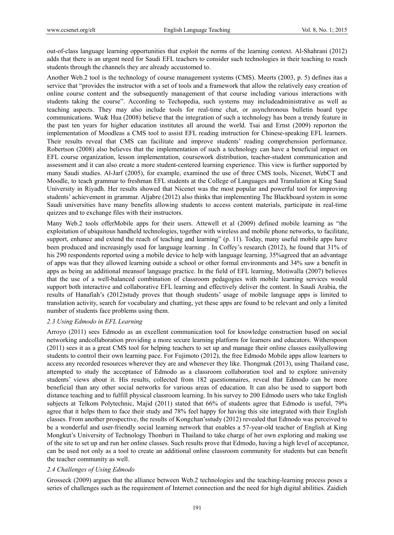out-of-class language learning opportunities that exploit the norms of the learning context. Al-Shahrani (2012) adds that there is an urgent need for Saudi EFL teachers to consider such technologies in their teaching to reach students through the channels they are already accustomed to.

Another Web.2 tool is the technology of course management systems (CMS). Meerts (2003, p. 5) defines itas a service that "provides the instructor with a set of tools and a framework that allow the relatively easy creation of online course content and the subsequently management of that course including various interactions with students taking the course". According to Techopedia, such systems may includeadministrative as well as teaching aspects. They may also include tools for real-time chat, or asynchronous bulletin board type communications. Wu& Hua (2008) believe that the integration of such a technology has been a trendy feature in the past ten years for higher education institutes all around the world. Tsai and Ernst (2009) reporton the implementation of Moodleas a CMS tool to assist EFL reading instruction for Chinese-speaking EFL learners. Their results reveal that CMS can facilitate and improve students' reading comprehension performance. Robertson (2008) also believes that the implementation of such a technology can have a beneficial impact on EFL course organization, lesson implementation, coursework distribution, teacher-student communication and assessment and it can also create a more student-centered learning experience. This view is further supported by many Saudi studies. Al-Jarf (2005), for example, examined the use of three CMS tools, Nicenet, WebCT and Moodle, to teach grammar to freshman EFL students at the College of Languages and Translation at King Saud University in Riyadh. Her results showed that Nicenet was the most popular and powerful tool for improving students' achievement in grammar. Aljabre (2012) also thinks that implementing The Blackboard system in some Saudi universities have many benefits allowing students to access content materials, participate in real-time quizzes and to exchange files with their instructors.

Many Web.2 tools offerMobile apps for their users. Attewell et al (2009) defined mobile learning as "the exploitation of ubiquitous handheld technologies, together with wireless and mobile phone networks, to facilitate, support, enhance and extend the reach of teaching and learning" (p. 11). Today, many useful mobile apps have been produced and increasingly used for language learning . In Coffey's research (2012), he found that 31% of his 290 respondents reported using a mobile device to help with language learning, 35%agreed that an advantage of apps was that they allowed learning outside a school or other formal environments and 34% saw a benefit in apps as being an additional meansof language practice. In the field of EFL learning, Motiwalla (2007) believes that the use of a well-balanced combination of classroom pedagogies with mobile learning services would support both interactive and collaborative EFL learning and effectively deliver the content. In Saudi Arabia, the results of Hanafiah's (2012)study proves that though students' usage of mobile language apps is limited to translation activity, search for vocabulary and chatting, yet these apps are found to be relevant and only a limited number of students face problems using them.

# *2.3 Using Edmodo in EFL Learning*

Arroyo (2011) sees Edmodo as an excellent communication tool for knowledge construction based on social networking andcollaboration providing a more secure learning platform for learners and educators. Witherspoon (2011) sees it as a great CMS tool for helping teachers to set up and manage their online classes easilyallowing students to control their own learning pace. For Fujimoto (2012), the free Edmodo Mobile apps allow learners to access any recorded resources wherever they are and whenever they like. Thongmak (2013), using Thailand case, attempted to study the acceptance of Edmodo as a classroom collaboration tool and to explore university students' views about it. His results, collected from 182 questionnaires, reveal that Edmodo can be more beneficial than any other social networks for various areas of education. It can also be used to support both distance teaching and to fulfill physical classroom learning. In his survey to 200 Edmodo users who take English subjects at Telkom Polytechnic, Majid (2011) stated that 66% of students agree that Edmodo is useful, 79% agree that it helps them to face their study and 78% feel happy for having this site integrated with their English classes. From another prospective, the results of Kongchan'sstudy (2012) revealed that Edmodo was perceived to be a wonderful and user-friendly social learning network that enables a 57-year-old teacher of English at King Mongkut's University of Technology Thonburi in Thailand to take charge of her own exploring and making use of the site to set up and run her online classes. Such results prove that Edmodo, having a high level of acceptance, can be used not only as a tool to create an additional online classroom community for students but can benefit the teacher community as well.

#### *2.4 Challenges of Using Edmodo*

Grosseck (2009) argues that the alliance between Web.2 technologies and the teaching-learning process poses a series of challenges such as the requirement of Internet connection and the need for high digital abilities. Zaidieh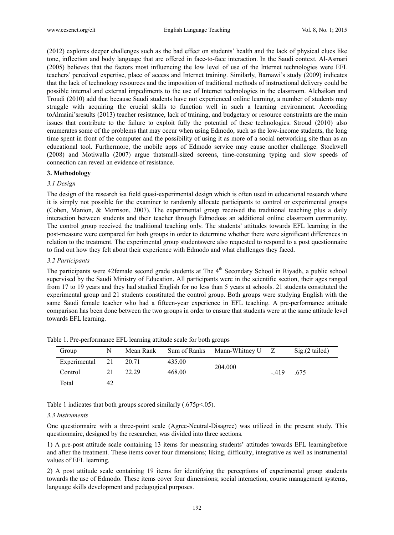(2012) explores deeper challenges such as the bad effect on students' health and the lack of physical clues like tone, inflection and body language that are offered in face-to-face interaction. In the Saudi context, Al-Asmari (2005) believes that the factors most influencing the low level of use of the Internet technologies were EFL teachers' perceived expertise, place of access and Internet training. Similarly, Barnawi's study (2009) indicates that the lack of technology resources and the imposition of traditional methods of instructional delivery could be possible internal and external impediments to the use of Internet technologies in the classroom. Alebaikan and Troudi (2010) add that because Saudi students have not experienced online learning, a number of students may struggle with acquiring the crucial skills to function well in such a learning environment. According toAlmaini'sresults (2013) teacher resistance, lack of training, and budgetary or resource constraints are the main issues that contribute to the failure to exploit fully the potential of these technologies. Stroud (2010) also enumerates some of the problems that may occur when using Edmodo, such as the low-income students, the long time spent in front of the computer and the possibility of using it as more of a social networking site than as an educational tool. Furthermore, the mobile apps of Edmodo service may cause another challenge. Stockwell (2008) and Motiwalla (2007) argue thatsmall-sized screens, time-consuming typing and slow speeds of connection can reveal an evidence of resistance.

#### **3. Methodology**

#### *3.1 Design*

The design of the research isa field quasi-experimental design which is often used in educational research where it is simply not possible for the examiner to randomly allocate participants to control or experimental groups (Cohen, Manion, & Morrison, 2007). The experimental group received the traditional teaching plus a daily interaction between students and their teacher through Edmodoas an additional online classroom community. The control group received the traditional teaching only. The students' attitudes towards EFL learning in the post-measure were compared for both groups in order to determine whether there were significant differences in relation to the treatment. The experimental group studentswere also requested to respond to a post questionnaire to find out how they felt about their experience with Edmodo and what challenges they faced.

#### *3.2 Participants*

The participants were 42female second grade students at The 4<sup>th</sup> Secondary School in Riyadh, a public school supervised by the Saudi Ministry of Education. All participants were in the scientific section, their ages ranged from 17 to 19 years and they had studied English for no less than 5 years at schools. 21 students constituted the experimental group and 21 students constituted the control group. Both groups were studying English with the same Saudi female teacher who had a fifteen-year experience in EFL teaching. A pre-performance attitude comparison has been done between the two groups in order to ensure that students were at the same attitude level towards EFL learning.

| Group           | N  | Mean Rank | Sum of Ranks | Mann-Whitney U Z |      | $Sig(2)$ tailed) |
|-----------------|----|-----------|--------------|------------------|------|------------------|
| Experimental 21 |    | 20.71     | 435.00       | 204.000          |      |                  |
| Control         | 21 | 22.29     | 468.00       |                  | -419 | .675             |
| Total           | 42 |           |              |                  |      |                  |

Table 1. Pre-performance EFL learning attitude scale for both groups

Table 1 indicates that both groups scored similarly (.675p<.05).

#### *3.3 Instruments*

One questionnaire with a three-point scale (Agree-Neutral-Disagree) was utilized in the present study. This questionnaire, designed by the researcher, was divided into three sections.

1) A pre-post attitude scale containing 13 items for measuring students' attitudes towards EFL learningbefore and after the treatment. These items cover four dimensions; liking, difficulty, integrative as well as instrumental values of EFL learning.

2) A post attitude scale containing 19 items for identifying the perceptions of experimental group students towards the use of Edmodo. These items cover four dimensions; social interaction, course management systems, language skills development and pedagogical purposes.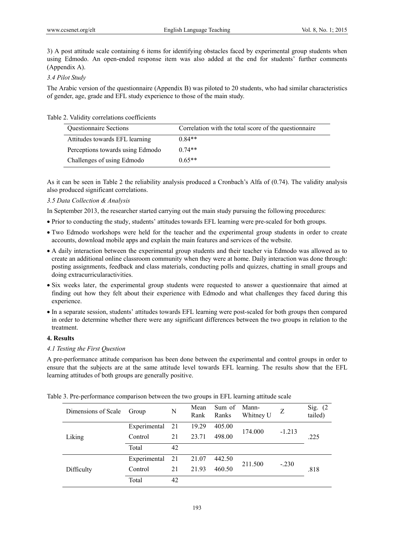3) A post attitude scale containing 6 items for identifying obstacles faced by experimental group students when using Edmodo. An open-ended response item was also added at the end for students' further comments (Appendix A).

# *3.4 Pilot Study*

The Arabic version of the questionnaire (Appendix B) was piloted to 20 students, who had similar characteristics of gender, age, grade and EFL study experience to those of the main study.

Table 2. Validity correlations coefficients

| <b>Questionnaire Sections</b>    | Correlation with the total score of the questionnaire |
|----------------------------------|-------------------------------------------------------|
| Attitudes towards EFL learning   | $0.84**$                                              |
| Perceptions towards using Edmodo | $0.74**$                                              |
| Challenges of using Edmodo       | $0.65**$                                              |

As it can be seen in Table 2 the reliability analysis produced a Cronbach's Alfa of (0.74). The validity analysis also produced significant correlations.

# *3.5 Data Collection & Analysis*

In September 2013, the researcher started carrying out the main study pursuing the following procedures:

- Prior to conducting the study, students' attitudes towards EFL learning were pre-scaled for both groups.
- Two Edmodo workshops were held for the teacher and the experimental group students in order to create accounts, download mobile apps and explain the main features and services of the website.
- A daily interaction between the experimental group students and their teacher via Edmodo was allowed as to create an additional online classroom community when they were at home. Daily interaction was done through: posting assignments, feedback and class materials, conducting polls and quizzes, chatting in small groups and doing extracurricularactivities.
- Six weeks later, the experimental group students were requested to answer a questionnaire that aimed at finding out how they felt about their experience with Edmodo and what challenges they faced during this experience.
- In a separate session, students' attitudes towards EFL learning were post-scaled for both groups then compared in order to determine whether there were any significant differences between the two groups in relation to the treatment.

#### **4. Results**

#### *4.1 Testing the First Question*

A pre-performance attitude comparison has been done between the experimental and control groups in order to ensure that the subjects are at the same attitude level towards EFL learning. The results show that the EFL learning attitudes of both groups are generally positive.

| Dimensions of Scale | Group        | N  | Mean<br>Rank | Sum of Mann-<br>Ranks | Whitney U | Z        | Sig. $(2)$<br>tailed) |  |
|---------------------|--------------|----|--------------|-----------------------|-----------|----------|-----------------------|--|
|                     | Experimental | 21 | 19.29        | 405.00                | 174.000   | $-1.213$ |                       |  |
| Liking              | Control      | 21 | 23.71        | 498.00                |           |          | .225                  |  |
|                     | Total        | 42 |              |                       |           |          |                       |  |
|                     | Experimental | 21 | 21.07        | 442.50                | 211.500   |          |                       |  |
| Difficulty          | Control      | 21 | 21.93        | 460.50                |           | $-.230$  | .818                  |  |
|                     | Total        | 42 |              |                       |           |          |                       |  |

Table 3. Pre-performance comparison between the two groups in EFL learning attitude scale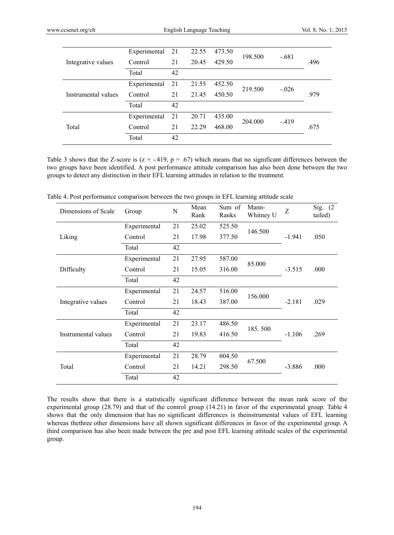|                     | Experimental | 21 | 22.55 | 473.50 | 198.500 | $-.681$ |      |  |
|---------------------|--------------|----|-------|--------|---------|---------|------|--|
| Integrative values  | Control      | 21 | 20.45 | 429.50 |         |         | .496 |  |
|                     | Total        | 42 |       |        |         |         |      |  |
|                     | Experimental | 21 | 21.55 | 452.50 | 219.500 | $-.026$ |      |  |
| Instrumental values | Control      | 21 | 21.45 | 450.50 |         |         | .979 |  |
|                     | Total        | 42 |       |        |         |         |      |  |
|                     | Experimental | 21 | 20.71 | 435.00 | 204.000 | $-419$  |      |  |
| Total               | Control      | 21 | 22.29 | 468.00 |         |         | .675 |  |
|                     | Total        | 42 |       |        |         |         |      |  |

Table 3 shows that the Z-score is  $(z = -0.419, p = 0.67)$  which means that no significant differences between the two groups have been identified. A post performance attitude comparison has also been done between the two groups to detect any distinction in their EFL learning attitudes in relation to the treatment*.* 

| Dimensions of Scale | Group        | N  | Mean<br>Rank | Sum of<br>Ranks | Mann-<br>Whitney U | Ζ        | Sig. $(2)$<br>tailed) |  |
|---------------------|--------------|----|--------------|-----------------|--------------------|----------|-----------------------|--|
|                     | Experimental | 21 | 25.02        | 525.50          | 146.500            |          |                       |  |
| Liking              | Control      | 21 | 17.98        | 377.50          |                    | $-1.941$ | .050                  |  |
|                     | Total        | 42 |              |                 |                    |          |                       |  |
|                     | Experimental | 21 | 27.95        | 587.00          | 85.000             |          |                       |  |
| Difficulty          | Control      | 21 | 15.05        | 316.00          |                    | $-3.515$ | .000                  |  |
|                     | Total        | 42 |              |                 |                    |          |                       |  |
|                     | Experimental | 21 | 24.57        | 516.00          | 156.000            | $-2.181$ |                       |  |
| Integrative values  | Control      | 21 | 18.43        | 387.00          |                    |          | .029                  |  |
|                     | Total        | 42 |              |                 |                    |          |                       |  |
|                     | Experimental | 21 | 23.17        | 486.50          | 185.500            |          |                       |  |
| Instrumental values | Control      | 21 | 19.83        | 416.50          |                    | $-1.106$ | .269                  |  |
|                     | Total        | 42 |              |                 |                    |          |                       |  |
|                     | Experimental | 21 | 28.79        | 604.50          | 67.500             |          |                       |  |
| Total               | Control      | 21 | 14.21        | 298.50          |                    | $-3.886$ | .000                  |  |
|                     | Total        | 42 |              |                 |                    |          |                       |  |

Table 4. Post performance comparison between the two groups in EFL learning attitude scale

The results show that there is a statistically significant difference between the mean rank score of the experimental group (28.79) and that of the control group (14.21) in favor of the experimental group. Table 4 shows that the only dimension that has no significant differences is theinstrumental values of EFL learning whereas thethree other dimensions have all shown significant differences in favor of the experimental group. A third comparison has also been made between the pre and post EFL learning attitude scales of the experimental group.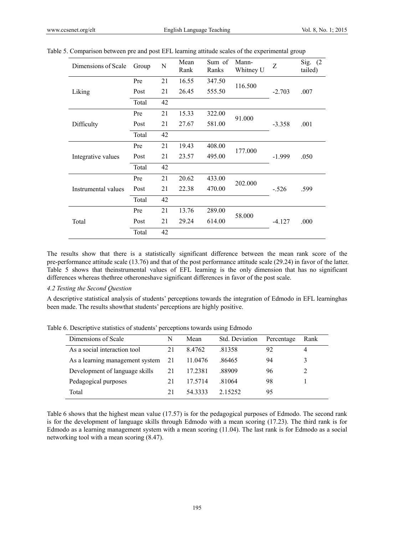| Dimensions of Scale | Group | $\mathbf N$ | Mean<br>Rank | Sum of<br>Ranks | Mann-<br>Whitney U | Z        | Sig.<br>(2)<br>tailed) |  |
|---------------------|-------|-------------|--------------|-----------------|--------------------|----------|------------------------|--|
|                     | Pre   | 21          | 16.55        | 347.50          | 116.500            |          |                        |  |
| Liking              | Post  | 21          | 26.45        | 555.50          |                    | $-2.703$ | .007                   |  |
|                     | Total | 42          |              |                 |                    |          |                        |  |
|                     | Pre   | 21          | 15.33        | 322.00          | 91.000             |          |                        |  |
| Difficulty          | Post  | 21          | 27.67        | 581.00          |                    | $-3.358$ | .001                   |  |
|                     | Total | 42          |              |                 |                    |          |                        |  |
|                     | Pre   | 21          | 19.43        | 408.00          |                    |          |                        |  |
| Integrative values  | Post  | 21          | 23.57        | 495.00          | 177.000            | $-1.999$ | .050                   |  |
|                     | Total | 42          |              |                 |                    |          |                        |  |
|                     | Pre   | 21          | 20.62        | 433.00          | 202.000            |          |                        |  |
| Instrumental values | Post  | 21          | 22.38        | 470.00          |                    | $-.526$  | .599                   |  |
|                     | Total | 42          |              |                 |                    |          |                        |  |
| Total               | Pre   | 21          | 13.76        | 289.00          | 58.000             |          |                        |  |
|                     | Post  | 21          | 29.24        | 614.00          |                    | $-4.127$ | .000                   |  |
|                     | Total | 42          |              |                 |                    |          |                        |  |

Table 5. Comparison between pre and post EFL learning attitude scales of the experimental group

The results show that there is a statistically significant difference between the mean rank score of the pre-performance attitude scale (13.76) and that of the post performance attitude scale (29.24) in favor of the latter. Table 5 shows that theinstrumental values of EFL learning is the only dimension that has no significant differences whereas thethree otheroneshave significant differences in favor of the post scale.

# *4.2 Testing the Second Question*

A descriptive statistical analysis of students' perceptions towards the integration of Edmodo in EFL learninghas been made. The results showthat students' perceptions are highly positive.

Table 6. Descriptive statistics of students' perceptions towards using Edmodo

| Dimensions of Scale             | N  | Mean    | Std. Deviation | Percentage | Rank |
|---------------------------------|----|---------|----------------|------------|------|
| As a social interaction tool    | 21 | 84762   | .81358         | 92         | 4    |
| As a learning management system | 21 | 11 0476 | .86465         | 94         |      |
| Development of language skills  | 21 | 17 2381 | .88909         | 96         |      |
| Pedagogical purposes            | 21 | 17.5714 | .81064         | 98         |      |
| Total                           | 21 | 54 3333 | 2 1 5 2 5 2    | 95         |      |

Table 6 shows that the highest mean value (17.57) is for the pedagogical purposes of Edmodo. The second rank is for the development of language skills through Edmodo with a mean scoring (17.23). The third rank is for Edmodo as a learning management system with a mean scoring (11.04). The last rank is for Edmodo as a social networking tool with a mean scoring (8.47).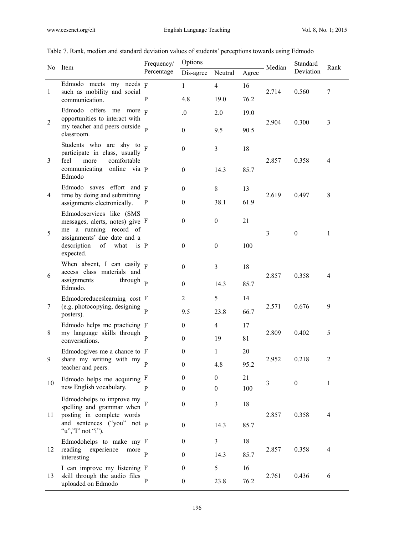|                | No Item                                                                                      | Frequency/   | Options          |                  |       | Median | Standard         | Rank           |  |
|----------------|----------------------------------------------------------------------------------------------|--------------|------------------|------------------|-------|--------|------------------|----------------|--|
|                |                                                                                              | Percentage   | Dis-agree        | Neutral          | Agree |        | Deviation        |                |  |
|                | Edmodo meets my needs $_F$                                                                   |              | $\mathbf{1}$     | $\overline{4}$   | 16    |        |                  | $\overline{7}$ |  |
| $\mathbf{1}$   | such as mobility and social<br>communication.                                                | P            | 4.8              | 19.0             | 76.2  | 2.714  | 0.560            |                |  |
|                | Edmodo offers me<br>more $_F$<br>opportunities to interact with                              |              | $.0\,$           | 2.0              | 19.0  |        |                  |                |  |
| $\overline{2}$ | my teacher and peers outside <sub>p</sub><br>classroom.                                      |              | $\boldsymbol{0}$ | 9.5              | 90.5  | 2.904  | 0.300            | $\overline{3}$ |  |
| 3              | Students who are shy to $_F$<br>participate in class, usually<br>feel<br>more<br>comfortable |              | $\boldsymbol{0}$ | $\overline{3}$   | 18    | 2.857  | 0.358            | $\overline{4}$ |  |
|                | communicating online via p<br>Edmodo                                                         |              | $\boldsymbol{0}$ | 14.3             | 85.7  |        |                  |                |  |
|                | Edmodo saves effort and $_F$                                                                 |              | $\mathbf{0}$     | 8                | 13    |        |                  |                |  |
| 4              | time by doing and submitting<br>assignments electronically.                                  | P            | $\boldsymbol{0}$ | 38.1             | 61.9  | 2.619  | 0.497            | 8              |  |
| 5              | Edmodoservices like (SMS<br>messages, alerts, notes) give F<br>me a running record of        |              | $\overline{0}$   | $\boldsymbol{0}$ | 21    | 3      | $\mathbf{0}$     | 1              |  |
|                | assignments' due date and a<br>description<br>of<br>what<br>$is \, P$<br>expected.           |              | $\mathbf{0}$     | $\mathbf{0}$     | 100   |        |                  |                |  |
|                | When absent, I can easily $_F$<br>access class materials and                                 |              | $\mathbf{0}$     | 3                | 18    |        |                  |                |  |
| 6              | assignments<br>through $_{\rm p}$<br>Edmodo.                                                 |              | $\boldsymbol{0}$ | 14.3             | 85.7  | 2.857  | 0.358            | $\overline{4}$ |  |
|                | Edmodoreduceslearning cost F                                                                 |              | $\overline{2}$   | 5                | 14    |        |                  |                |  |
| 7              | (e.g. photocopying, designing $\overline{P}$<br>posters).                                    |              | 9.5              | 23.8             | 66.7  | 2.571  | 0.676            | 9              |  |
|                | Edmodo helps me practicing F                                                                 |              | $\mathbf{0}$     | $\overline{4}$   | 17    | 2.809  | 0.402            | 5              |  |
| 8              | my language skills through<br>conversations.                                                 |              | $\boldsymbol{0}$ | 19               | 81    |        |                  |                |  |
|                | Edmodogives me a chance to F                                                                 |              | $\boldsymbol{0}$ | $\mathbf{1}$     | 20    |        |                  |                |  |
| 9              | share my writing with my $_{\rm p}$<br>teacher and peers.                                    |              | $\boldsymbol{0}$ | 4.8              | 95.2  | 2.952  | 0.218            | $\overline{c}$ |  |
| 10             | Edmodo helps me acquiring $F$                                                                |              | $\mathbf{0}$     | $\boldsymbol{0}$ | 21    | 3      | $\boldsymbol{0}$ | 1              |  |
|                | new English vocabulary.                                                                      | P            | $\mathbf{0}$     | $\boldsymbol{0}$ | 100   |        |                  |                |  |
| 11             | Edmodohelps to improve my<br>spelling and grammar when<br>posting in complete words          |              | $\boldsymbol{0}$ | $\overline{3}$   | 18    | 2.857  | 0.358            | $\overline{4}$ |  |
|                | and sentences ("you" not p<br>"u","I" not "i").                                              |              | $\mathbf{0}$     | 14.3             | 85.7  |        |                  |                |  |
|                | Edmodohelps to make my F                                                                     |              | $\mathbf{0}$     | 3                | 18    |        |                  |                |  |
| 12             | reading experience<br>more<br>interesting                                                    | P            | $\boldsymbol{0}$ | 14.3             | 85.7  | 2.857  | 0.358            | $\overline{4}$ |  |
|                | I can improve my listening F                                                                 |              | $\mathbf{0}$     | 5                | 16    |        |                  |                |  |
| 13             | skill through the audio files<br>uploaded on Edmodo                                          | $\mathbf{P}$ | $\boldsymbol{0}$ | 23.8             | 76.2  | 2.761  | 0.436            | 6              |  |

# Table 7. Rank, median and standard deviation values of students' perceptions towards using Edmodo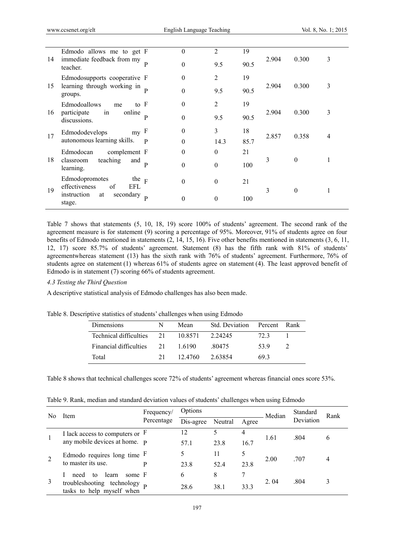|    | Edmodo allows me to get F                                        |   | $\mathbf{0}$     | $\overline{2}$ | 19   |       |          |   |
|----|------------------------------------------------------------------|---|------------------|----------------|------|-------|----------|---|
| 14 | immediate feedback from my<br>teacher.                           |   | $\theta$         | 9.5            | 90.5 | 2.904 | 0.300    | 3 |
|    | Edmodosupports cooperative F                                     |   | $\theta$         | $\overline{c}$ | 19   |       |          |   |
| 15 | learning through working in<br>groups.                           |   | $\theta$         | 9.5            | 90.5 | 2.904 | 0.300    | 3 |
|    | Edmodoallows<br>to $F$<br>me                                     |   | $\theta$         | $\overline{2}$ | 19   |       |          |   |
| 16 | in<br>online<br>participate<br>discussions.                      | P | $\mathbf{0}$     | 9.5            | 90.5 | 2.904 | 0.300    | 3 |
| 17 | $my \ F$<br>Edmododevelops                                       |   | $\boldsymbol{0}$ | 3              | 18   | 2.857 | 0.358    | 4 |
|    | autonomous learning skills.                                      | P | $\theta$         | 14.3           | 85.7 |       |          |   |
|    | Edmodocan<br>complement F                                        |   | $\theta$         | $\theta$       | 21   |       |          |   |
| 18 | teaching<br>classroom<br>and<br>learning.                        |   | $\boldsymbol{0}$ | $\theta$       | 100  | 3     | $\theta$ |   |
|    | Edmodopromotes<br>the $_F$<br>$\alpha$ f<br>effectiveness<br>EFL |   | $\theta$         | $\theta$       | 21   | 3     | $\theta$ |   |
| 19 | instruction<br>secondary<br>at<br>stage.                         | P | $\theta$         | $\theta$       | 100  |       |          |   |
|    |                                                                  |   |                  |                |      |       |          |   |

Table 7 shows that statements (5, 10, 18, 19) score 100% of students' agreement. The second rank of the agreement measure is for statement (9) scoring a percentage of 95%. Moreover, 91% of students agree on four benefits of Edmodo mentioned in statements (2, 14, 15, 16). Five other benefits mentioned in statements (3, 6, 11, 12, 17) score 85.7% of students' agreement. Statement (8) has the fifth rank with 81% of students' agreementwhereas statement (13) has the sixth rank with 76% of students' agreement. Furthermore, 76% of students agree on statement (1) whereas 61% of students agree on statement (4). The least approved benefit of Edmodo is in statement (7) scoring 66% of students agreement.

# *4.3 Testing the Third Question*

A descriptive statistical analysis of Edmodo challenges has also been made.

| Dimensions             | N  | Mean    | Std. Deviation | Percent Rank |  |
|------------------------|----|---------|----------------|--------------|--|
| Technical difficulties | 21 | 10 8571 | 2 24 24 5      | 72 3         |  |
| Financial difficulties | 21 | 1.6190  | 80475          | 539          |  |
| Total                  | 21 | 12.4760 | 2.63854        | 693          |  |

Table 8. Descriptive statistics of students' challenges when using Edmodo

Table 8 shows that technical challenges score 72% of students' agreement whereas financial ones score 53%.

| Table 9. Rank, median and standard deviation values of students' challenges when using Edmodo |  |  |  |  |
|-----------------------------------------------------------------------------------------------|--|--|--|--|
|                                                                                               |  |  |  |  |

| No | Item                                                    | Frequency/ | Options   |         |       | Median | Standard  | Rank |
|----|---------------------------------------------------------|------------|-----------|---------|-------|--------|-----------|------|
|    |                                                         | Percentage | Dis-agree | Neutral | Agree |        | Deviation |      |
|    | I lack access to computers or $F$                       |            | 12        |         |       | 1.61   | .804      | b    |
|    | any mobile devices at home. p                           |            | 57.1      | 23.8    | 16.7  |        |           |      |
|    | Edmodo requires long time $F$                           |            | 5         | 11      | 5     | 2.00   | .707      |      |
|    | to master its use.                                      | P          | 23.8      | 52.4    | 23.8  |        |           | 4    |
|    | learn<br>some F<br>need<br>to                           |            | 6         | 8       |       |        |           |      |
| 3  | troubleshooting technology<br>tasks to help myself when |            | 28.6      | 38.1    | 33.3  | 2.04   | .804      |      |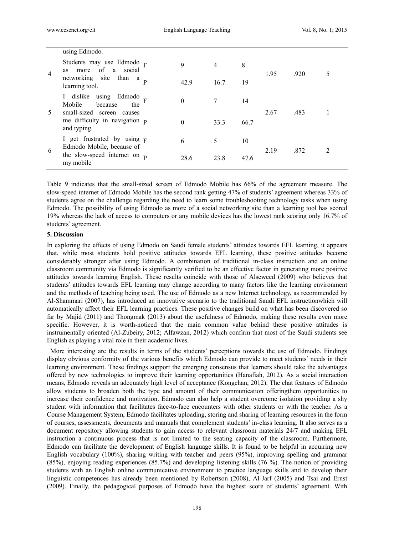|                | using Edmodo.                                                                                        |          |                |      |      |      |                |
|----------------|------------------------------------------------------------------------------------------------------|----------|----------------|------|------|------|----------------|
| $\overline{4}$ | Students may use Edmodo F<br>more of a social<br>as                                                  | 9        | $\overline{4}$ | 8    | 1.95 | .920 |                |
|                | networking site than<br>$a_{\mathbf{p}}$<br>learning tool.                                           | 42.9     | 16.7           | 19   |      |      |                |
| 5              | using Edmodo $\overline{F}$<br>Ι<br>dislike<br>Mobile<br>because<br>the<br>small-sized screen causes | $\theta$ | 7              | 14   | 2.67 | .483 |                |
|                | me difficulty in navigation p<br>and typing.                                                         | $\theta$ | 33.3           | 66.7 |      |      |                |
| 6              | I get frustrated by using $_F$<br>Edmodo Mobile, because of                                          | 6        | 5              | 10   | 2.19 | .872 | $\overline{c}$ |
|                | the slow-speed internet on $\mathbf{p}$<br>my mobile                                                 | 28.6     | 23.8           | 47.6 |      |      |                |

Table 9 indicates that the small-sized screen of Edmodo Mobile has 66% of the agreement measure. The slow-speed internet of Edmodo Mobile has the second rank getting 47% of students' agreement whereas 33% of students agree on the challenge regarding the need to learn some troubleshooting technology tasks when using Edmodo. The possibility of using Edmodo as more of a social networking site than a learning tool has scored 19% whereas the lack of access to computers or any mobile devices has the lowest rank scoring only 16.7% of students' agreement.

#### **5. Discussion**

In exploring the effects of using Edmodo on Saudi female students' attitudes towards EFL learning, it appears that, while most students hold positive attitudes towards EFL learning, these positive attitudes become considerably stronger after using Edmodo. A combination of traditional in-class instruction and an online classroom community via Edmodo is significantly verified to be an effective factor in generating more positive attitudes towards learning English. These results coincide with those of Alseweed (2009) who believes that students' attitudes towards EFL learning may change according to many factors like the learning environment and the methods of teaching being used. The use of Edmodo as a new Internet technology, as recommended by Al-Shammari (2007), has introduced an innovative scenario to the traditional Saudi EFL instructionwhich will automatically affect their EFL learning practices. These positive changes build on what has been discovered so far by Majid (2011) and Thongmak (2013) about the usefulness of Edmodo, making these results even more specific. However, it is worth-noticed that the main common value behind these positive attitudes is instrumentally oriented (Al-Zubeiry, 2012; Alfawzan, 2012) which confirm that most of the Saudi students see English as playing a vital role in their academic lives.

 More interesting are the results in terms of the students' perceptions towards the use of Edmodo. Findings display obvious conformity of the various benefits which Edmodo can provide to meet students' needs in their learning environment. These findings support the emerging consensus that learners should take the advantages offered by new technologies to improve their learning opportunities (Hanafiah, 2012). As a social interaction means, Edmodo reveals an adequately high level of acceptance (Kongchan, 2012). The chat features of Edmodo allow students to broaden both the type and amount of their communication offeringthem opportunities to increase their confidence and motivation. Edmodo can also help a student overcome isolation providing a shy student with information that facilitates face-to-face encounters with other students or with the teacher. As a Course Management System, Edmodo facilitates uploading, storing and sharing of learning resources in the form of courses, assessments, documents and manuals that complement students' in-class learning. It also serves as a document repository allowing students to gain access to relevant classroom materials 24/7 and making EFL instruction a continuous process that is not limited to the seating capacity of the classroom. Furthermore, Edmodo can facilitate the development of English language skills. It is found to be helpful in acquiring new English vocabulary (100%), sharing writing with teacher and peers (95%), improving spelling and grammar (85%), enjoying reading experiences (85.7%) and developing listening skills (76 %). The notion of providing students with an English online communicative environment to practice language skills and to develop their linguistic competences has already been mentioned by Robertson (2008), Al-Jarf (2005) and Tsai and Ernst (2009). Finally, the pedagogical purposes of Edmodo have the highest score of students' agreement. With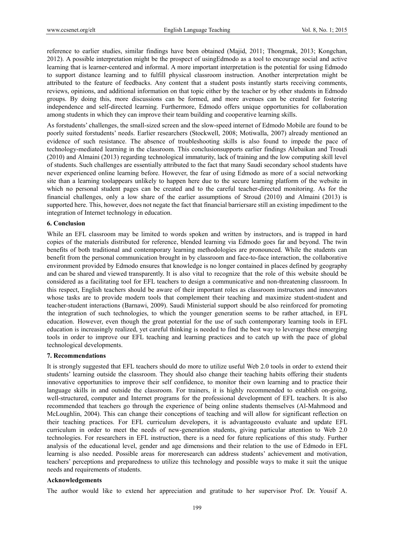reference to earlier studies, similar findings have been obtained (Majid, 2011; Thongmak, 2013; Kongchan, 2012). A possible interpretation might be the prospect of usingEdmodo as a tool to encourage social and active learning that is learner-centered and informal. A more important interpretation is the potential for using Edmodo to support distance learning and to fulfill physical classroom instruction. Another interpretation might be attributed to the feature of feedbacks. Any content that a student posts instantly starts receiving comments, reviews, opinions, and additional information on that topic either by the teacher or by other students in Edmodo groups. By doing this, more discussions can be formed, and more avenues can be created for fostering independence and self-directed learning. Furthermore, Edmodo offers unique opportunities for collaboration among students in which they can improve their team building and cooperative learning skills.

As forstudents' challenges, the small-sized screen and the slow-speed internet of Edmodo Mobile are found to be poorly suited forstudents' needs. Earlier researchers (Stockwell, 2008; Motiwalla, 2007) already mentioned an evidence of such resistance. The absence of troubleshooting skills is also found to impede the pace of technology-mediated learning in the classroom. This conclusionsupports earlier findings Alebaikan and Troudi (2010) and Almaini (2013) regarding technological immaturity, lack of training and the low computing skill level of students. Such challenges are essentially attributed to the fact that many Saudi secondary school students have never experienced online learning before. However, the fear of using Edmodo as more of a social networking site than a learning toolappears unlikely to happen here due to the secure learning platform of the website in which no personal student pages can be created and to the careful teacher-directed monitoring. As for the financial challenges, only a low share of the earlier assumptions of Stroud (2010) and Almaini (2013) is supported here. This, however, does not negate the fact that financial barriersare still an existing impediment to the integration of Internet technology in education.

#### **6. Conclusion**

While an EFL classroom may be limited to words spoken and written by instructors, and is trapped in hard copies of the materials distributed for reference, blended learning via Edmodo goes far and beyond. The twin benefits of both traditional and contemporary learning methodologies are pronounced. While the students can benefit from the personal communication brought in by classroom and face-to-face interaction, the collaborative environment provided by Edmodo ensures that knowledge is no longer contained in places defined by geography and can be shared and viewed transparently. It is also vital to recognize that the role of this website should be considered as a facilitating tool for EFL teachers to design a communicative and non-threatening classroom. In this respect, English teachers should be aware of their important roles as classroom instructors and innovators whose tasks are to provide modern tools that complement their teaching and maximize student-student and teacher-student interactions (Barnawi, 2009). Saudi Ministerial support should be also reinforced for promoting the integration of such technologies, to which the younger generation seems to be rather attached, in EFL education. However, even though the great potential for the use of such contemporary learning tools in EFL education is increasingly realized, yet careful thinking is needed to find the best way to leverage these emerging tools in order to improve our EFL teaching and learning practices and to catch up with the pace of global technological developments.

#### **7. Recommendations**

It is strongly suggested that EFL teachers should do more to utilize useful Web 2.0 tools in order to extend their students' learning outside the classroom. They should also change their teaching habits offering their students innovative opportunities to improve their self confidence, to monitor their own learning and to practice their language skills in and outside the classroom. For trainers, it is highly recommended to establish on-going, well-structured, computer and Internet programs for the professional development of EFL teachers. It is also recommended that teachers go through the experience of being online students themselves (Al-Mahmood and McLoughlin, 2004). This can change their conceptions of teaching and will allow for significant reflection on their teaching practices. For EFL curriculum developers, it is advantageousto evaluate and update EFL curriculum in order to meet the needs of new-generation students, giving particular attention to Web 2.0 technologies. For researchers in EFL instruction, there is a need for future replications of this study. Further analysis of the educational level, gender and age dimensions and their relation to the use of Edmodo in EFL learning is also needed. Possible areas for moreresearch can address students' achievement and motivation, teachers' perceptions and preparedness to utilize this technology and possible ways to make it suit the unique needs and requirements of students.

#### **Acknowledgements**

The author would like to extend her appreciation and gratitude to her supervisor Prof. Dr. Yousif A.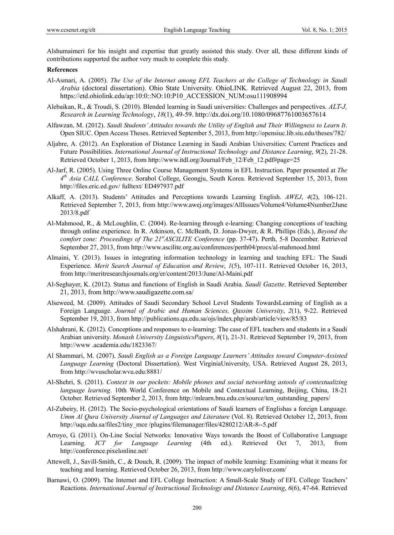Alshumaimeri for his insight and expertise that greatly assisted this study. Over all, these different kinds of contributions supported the author very much to complete this study.

#### **References**

- Al-Asmari, A. (2005). *The Use of the Internet among EFL Teachers at the College of Technology in Saudi Arabia* (doctoral dissertation). Ohio State University. OhioLINK*.* Retrieved August 22, 2013, from https://etd.ohiolink.edu/ap:10:0::NO:10:P10\_ACCESSION\_NUM:osu111908994
- Alebaikan, R., & Troudi, S. (2010). Blended learning in Saudi universities: Challenges and perspectives. *ALT-J, Research in Learning Technology*, *18*(1), 49-59. http://dx.doi.org/10.1080/09687761003657614
- Alfawzan, M. (2012). *Saudi Students' Attitudes towards the Utility of English and Their Willingness to Learn It*. Open SIUC. Open Access Theses. Retrieved September 5, 2013, from http://opensiuc.lib.siu.edu/theses/782/
- Aljabre, A. (2012). An Exploration of Distance Learning in Saudi Arabian Universities: Current Practices and Future Possibilities. *International Journal of Instructional Technology and Distance Learning*, *9*(2), 21-28. Retrieved October 1, 2013, from http://www.itdl.org/Journal/Feb\_12/Feb\_12.pdf#page=25
- Al-Jarf, R. (2005). Using Three Online Course Management Systems in EFL Instruction. Paper presented at *The 4th Asia CALL Conference*. Sorabol College, Geongju, South Korea. Retrieved September 15, 2013, from http://files.eric.ed.gov/ fulltext/ ED497937.pdf
- Alkaff, A. (2013). Students' Attitudes and Perceptions towards Learning English. *AWEJ*, *4*(2), 106-121. Retrieved September 7, 2013, from http://www.awej.org/images/AllIssues/Volume4/Volume4Number2June 2013/8.pdf
- Al-Mahmood, R., & McLoughlin, C. (2004). Re-learning through e-learning: Changing conceptions of teaching through online experience. In R. Atkinson, C. McBeath, D. Jonas-Dwyer, & R. Phillips (Eds.), *Beyond the comfort zone: Proceedings of The 21stASCILITE Conference* (pp. 37-47). Perth, 5-8 December. Retrieved September 27, 2013, from http://www.ascilite.org.au/conferences/perth04/procs/al-mahmood.html
- Almaini, Y. (2013). Issues in integrating information technology in learning and teaching EFL: The Saudi Experience. *Merit Search Journal of Education and Review*, *1*(5), 107-111. Retrieved October 16, 2013, from http://meritresearchjournals.org/er/content/2013/June/Al-Maini.pdf
- Al-Seghayer, K. (2012). Status and functions of English in Saudi Arabia. *Saudi Gazette*. Retrieved September 21, 2013, from http://www.saudigazette.com.sa/
- Alseweed, M. (2009). Attitudes of Saudi Secondary School Level Students TowardsLearning of English as a Foreign Language. *Journal of Arabic and Human Sciences, Qassim University*, *2*(1), 9-22. Retrieved September 19, 2013, from http://publications.qu.edu.sa/ojs/index.php/arab/article/view/85/83
- Alshahrani, K. (2012). Conceptions and responses to e-learning: The case of EFL teachers and students in a Saudi Arabian university. *Monash University LinguisticsPapers*, *8*(1), 21-31. Retrieved September 19, 2013, from http://www .academia.edu/1823367/
- Al Shammari, M. (2007). *Saudi English as a Foreign Language Learners' Attitudes toward Computer-Assisted Language Learning* (Doctoral Dissertation). West VirginiaUniversity, USA. Retrieved August 28, 2013, from http://wvuscholar.wvu.edu:8881/
- Al-Shehri, S. (2011). *Context in our pockets: Mobile phones and social networking astools of contextualizing language learning*. 10th World Conference on Mobile and Contextual Learning, Beijing, China, 18-21 October. Retrieved September 2, 2013, from http://mlearn.bnu.edu.cn/source/ten\_outstanding\_papers/
- Al-Zubeiry, H. (2012). The Socio-psychological orientations of Saudi learners of Englishas a foreign Language. *Umm Al Qura University Journal of Languages and Literature* (Vol. 8). Retrieved October 12, 2013, from http://uqu.edu.sa/files2/tiny\_mce /plugins/filemanager/files/4280212/AR-8--5.pdf
- Arroyo, G. (2011). On-Line Social Networks: Innovative Ways towards the Boost of Collaborative Language Learning. *ICT for Language Learning* (4th ed.). Retrieved Oct 7, 2013, from http://conference.pixelonline.net/
- Attewell, J., Savill-Smith, C., & Douch, R. (2009). The impact of mobile learning: Examining what it means for teaching and learning. Retrieved October 26, 2013, from http://www.caryloliver.com/
- Barnawi, O. (2009). The Internet and EFL College Instruction: A Small-Scale Study of EFL College Teachers' Reactions. *International Journal of Instructional Technology and Distance Learning*, *6*(6), 47-64. Retrieved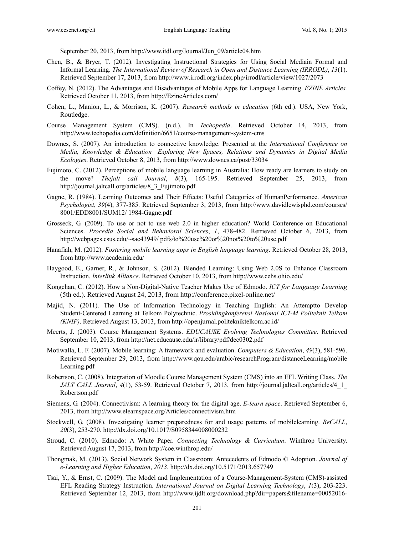September 20, 2013, from http://www.itdl.org/Journal/Jun\_09/article04.htm

- Chen, B., & Bryer, T. (2012). Investigating Instructional Strategies for Using Social Mediain Formal and Informal Learning. *The International Review of Research in Open and Distance Learning (IRRODL)*, *13*(1). Retrieved September 17, 2013, from http://www.irrodl.org/index.php/irrodl/article/view/1027/2073
- Coffey, N. (2012). The Advantages and Disadvantages of Mobile Apps for Language Learning. *EZINE Articles.* Retrieved October 11, 2013, from http://EzineArticles.com/
- Cohen, L., Manion, L., & Morrison, K. (2007). *Research methods in education* (6th ed.). USA, New York, Routledge.
- Course Management System (CMS). (n.d.). In *Techopedia*. Retrieved October 14, 2013, from http://www.techopedia.com/definition/6651/course-management-system-cms
- Downes, S. (2007). An introduction to connective knowledge. Presented at the *International Conference on Media, Knowledge & Education—Exploring New Spaces, Relations and Dynamics in Digital Media Ecologies*. Retrieved October 8, 2013, from http://www.downes.ca/post/33034
- Fujimoto, C. (2012). Perceptions of mobile language learning in Australia: How ready are learners to study on the move? *Thejalt call Journal*, *8*(3), 165-195. Retrieved September 25, 2013, from http://journal.jaltcall.org/articles/8\_3\_Fujimoto.pdf
- Gagne, R. (1984). Learning Outcomes and Their Effects: Useful Categories of HumanPerformance. *American Psychologist*, *39*(4), 377-385. Retrieved September 3, 2013, from http://www.davidlewisphd.com/courses/ 8001/EDD8001/SUM12/ 1984-Gagne.pdf
- Grosseck, G. (2009). To use or not to use web 2.0 in higher education? World Conference on Educational Sciences. *Procedia Social and Behavioral Sciences*, *1*, 478-482. Retrieved October 6, 2013, from http://webpages.csus.edu/~sac43949/ pdfs/to%20use%20or%20not%20to%20use.pdf
- Hanafiah, M. (2012). *Fostering mobile learning apps in English language learning*. Retrieved October 28, 2013, from http://www.academia.edu/
- Haygood, E., Garner, R., & Johnson, S. (2012). Blended Learning: Using Web 2.0S to Enhance Classroom Instruction. *Interlink Alliance*. Retrieved October 10, 2013, from http://www.cehs.ohio.edu/
- Kongchan, C. (2012). How a Non-Digital-Native Teacher Makes Use of Edmodo. *ICT for Language Learning*  (5th ed.). Retrieved August 24, 2013, from http://conference.pixel-online.net/
- Majid, N. (2011). The Use of Information Technology in Teaching English: An Attemptto Develop Student-Centered Learning at Telkom Polytechnic. *Prosidingkonferensi Nasional ICT-M Politeknit Telkom (KNIP)*. Retrieved August 13, 2013, from http://openjurnal.politekniktelkom.ac.id/
- Meerts, J. (2003). Course Management Systems. *EDUCAUSE Evolving Technologies Committee*. Retrieved September 10, 2013, from http://net.educause.edu/ir/library/pdf/dec0302.pdf
- Motiwalla, L. F. (2007). Mobile learning: A framework and evaluation. *Computers & Education*, *49*(3), 581-596. Retrieved September 29, 2013, from http://www.qou.edu/arabic/researchProgram/distanceLearning/mobile Learning.pdf
- Robertson, C. (2008). Integration of Moodle Course Management System (CMS) into an EFL Writing Class. *The JALT CALL Journal*, *4*(1), 53-59. Retrieved October 7, 2013, from http://journal.jaltcall.org/articles/4\_1\_ Robertson.pdf
- Siemens, G. (2004). Connectivism: A learning theory for the digital age. *E-learn space*. Retrieved September 6, 2013, from http://www.elearnspace.org/Articles/connectivism.htm
- Stockwell, G. (2008). Investigating learner preparedness for and usage patterns of mobilelearning. *ReCALL*, *20*(3), 253-270. http://dx.doi.org/10.1017/S0958344008000232
- Stroud, C. (2010). Edmodo: A White Paper. *Connecting Technology & Curriculum*. Winthrop University. Retrieved August 17, 2013, from http://coe.winthrop.edu/
- Thongmak, M. (2013). Social Network System in Classroom: Antecedents of Edmodo © Adoption. *Journal of e-Learning and Higher Education*, *2013*. http://dx.doi.org/10.5171/2013.657749
- Tsai, Y., & Ernst, C. (2009). The Model and Implementation of a Course-Management-System (CMS)-assisted EFL Reading Strategy Instruction. *International Journal on Digital Learning Technology*, *1*(3), 203-223. Retrieved September 12, 2013, from http://www.ijdlt.org/download.php?dir=papers&filename=00052016-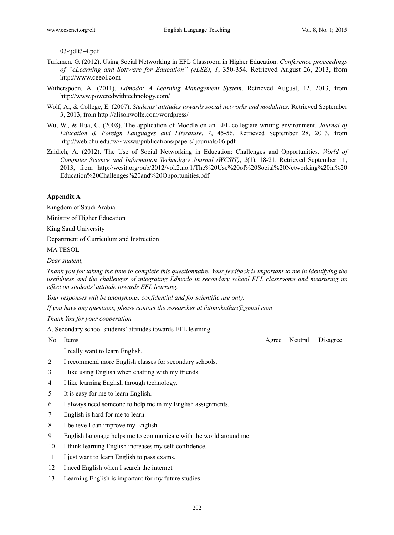03-ijdlt3-4.pdf

- Turkmen, G. (2012). Using Social Networking in EFL Classroom in Higher Education. *Conference proceedings of "eLearning and Software for Education" (eLSE)*, *1*, 350-354. Retrieved August 26, 2013, from http://www.ceeol.com
- Witherspoon, A. (2011). *Edmodo: A Learning Management System*. Retrieved August, 12, 2013, from http://www.poweredwithtechnology.com/
- Wolf, A., & College, E. (2007). *Students' attitudes towards social networks and modalities*. Retrieved September 3, 2013, from http://alisonwolfe.com/wordpress/
- Wu, W., & Hua, C. (2008). The application of Moodle on an EFL collegiate writing environment. *Journal of Education & Foreign Languages and Literature*, *7*, 45-56. Retrieved September 28, 2013, from http://web.chu.edu.tw/~wswu/publications/papers/ journals/06.pdf
- Zaidieh, A. (2012). The Use of Social Networking in Education: Challenges and Opportunities. *World of Computer Science and Information Technology Journal (WCSIT)*, *2*(1), 18-21. Retrieved September 11, 2013, from http://wcsit.org/pub/2012/vol.2.no.1/The%20Use%20of%20Social%20Networking%20in%20 Education%20Challenges%20and%20Opportunities.pdf

#### **Appendix A**

Kingdom of Saudi Arabia

Ministry of Higher Education

King Saud University

Department of Curriculum and Instruction

#### MA TESOL

*Dear student,* 

*Thank you for taking the time to complete this questionnaire. Your feedback is important to me in identifying the usefulness and the challenges of integrating Edmodo in secondary school EFL classrooms and measuring its effect on students' attitude towards EFL learning.*

*Your responses will be anonymous, confidential and for scientific use only.* 

*If you have any questions, please contact the researcher at fatimakathiri@gmail.com*

*Thank You for your cooperation.* 

A. Secondary school students' attitudes towards EFL learning

| N <sub>0</sub> | Items |     | Agree | Neutral | Disagree |
|----------------|-------|-----|-------|---------|----------|
|                |       | . . |       |         |          |

- 1 I really want to learn English.
- 2 I recommend more English classes for secondary schools.
- 3 I like using English when chatting with my friends.
- 4 I like learning English through technology.
- 5 It is easy for me to learn English.
- 6 I always need someone to help me in my English assignments.
- 7 English is hard for me to learn.
- 8 I believe I can improve my English.
- 9 English language helps me to communicate with the world around me.
- 10 I think learning English increases my self-confidence.
- 11 I just want to learn English to pass exams.
- 12 I need English when I search the internet.
- 13 Learning English is important for my future studies.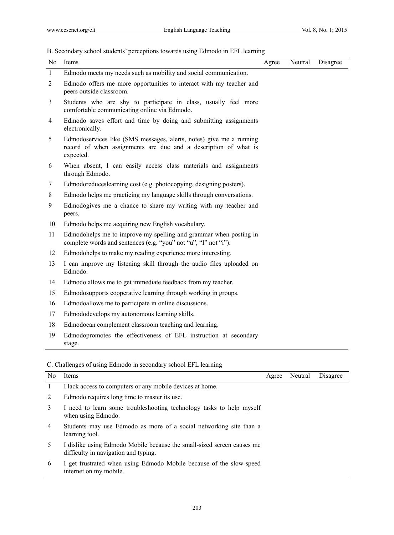# B. Secondary school students' perceptions towards using Edmodo in EFL learning

| N <sub>0</sub>                                                 | Items                                                                                                                                               | Agree  | Neutral | Disagree |  |  |
|----------------------------------------------------------------|-----------------------------------------------------------------------------------------------------------------------------------------------------|--------|---------|----------|--|--|
| $\mathbf{1}$                                                   | Edmodo meets my needs such as mobility and social communication.                                                                                    |        |         |          |  |  |
| $\overline{2}$                                                 | Edmodo offers me more opportunities to interact with my teacher and<br>peers outside classroom.                                                     |        |         |          |  |  |
| 3                                                              | Students who are shy to participate in class, usually feel more<br>comfortable communicating online via Edmodo.                                     |        |         |          |  |  |
| 4                                                              | Edmodo saves effort and time by doing and submitting assignments<br>electronically.                                                                 |        |         |          |  |  |
| 5                                                              | Edmodoservices like (SMS messages, alerts, notes) give me a running<br>record of when assignments are due and a description of what is<br>expected. |        |         |          |  |  |
| 6                                                              | When absent, I can easily access class materials and assignments<br>through Edmodo.                                                                 |        |         |          |  |  |
| 7                                                              | Edmodoreduceslearning cost (e.g. photocopying, designing posters).                                                                                  |        |         |          |  |  |
| 8                                                              | Edmodo helps me practicing my language skills through conversations.                                                                                |        |         |          |  |  |
| 9                                                              | Edmodogives me a chance to share my writing with my teacher and<br>peers.                                                                           |        |         |          |  |  |
| 10                                                             | Edmodo helps me acquiring new English vocabulary.                                                                                                   |        |         |          |  |  |
| 11                                                             | Edmodohelps me to improve my spelling and grammar when posting in<br>complete words and sentences (e.g. "you" not "u", "I" not "i").                |        |         |          |  |  |
| 12                                                             | Edmodohelps to make my reading experience more interesting.                                                                                         |        |         |          |  |  |
| 13                                                             | I can improve my listening skill through the audio files uploaded on<br>Edmodo.                                                                     |        |         |          |  |  |
| 14                                                             | Edmodo allows me to get immediate feedback from my teacher.                                                                                         |        |         |          |  |  |
| 15                                                             | Edmodosupports cooperative learning through working in groups.                                                                                      |        |         |          |  |  |
| 16                                                             | Edmodoallows me to participate in online discussions.                                                                                               |        |         |          |  |  |
| 17                                                             | Edmododevelops my autonomous learning skills.                                                                                                       |        |         |          |  |  |
| 18                                                             | Edmodocan complement classroom teaching and learning.                                                                                               |        |         |          |  |  |
| 19                                                             | Edmodopromotes the effectiveness of EFL instruction at secondary<br>stage.                                                                          |        |         |          |  |  |
| C. Challenges of using Edmodo in secondary school EFL learning |                                                                                                                                                     |        |         |          |  |  |
|                                                                | $N_0$ Items                                                                                                                                         | A oree | Neutral | Disagree |  |  |

|   | 1 <i>001110</i>                                                                                                | $\lambda$ | <u>DIJULIUU</u> |
|---|----------------------------------------------------------------------------------------------------------------|-----------|-----------------|
|   | I lack access to computers or any mobile devices at home.                                                      |           |                 |
|   | Edmodo requires long time to master its use.                                                                   |           |                 |
| 3 | I need to learn some troubleshooting technology tasks to help myself<br>when using Edmodo.                     |           |                 |
| 4 | Students may use Edmodo as more of a social networking site than a<br>learning tool.                           |           |                 |
| 5 | I dislike using Edmodo Mobile because the small-sized screen causes me<br>difficulty in navigation and typing. |           |                 |
| 6 | I get frustrated when using Edmodo Mobile because of the slow-speed<br>internet on my mobile.                  |           |                 |